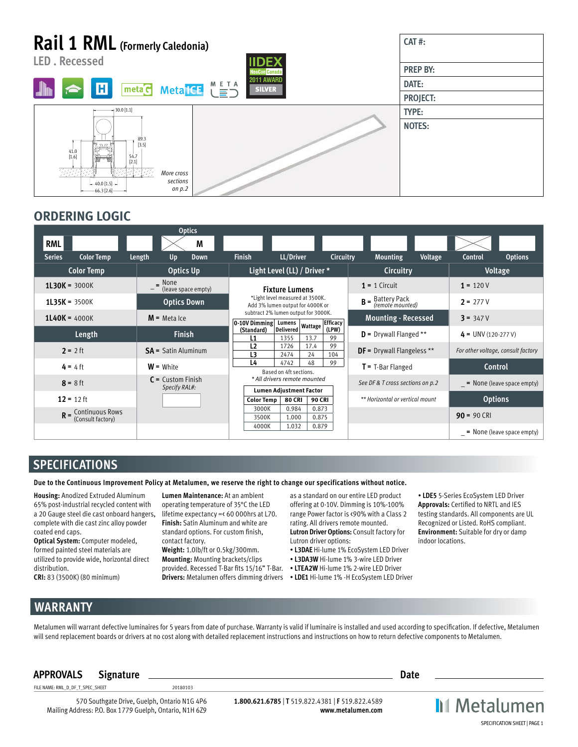# **Rail 1 RML (Formerly Caledonia)**



# **ORDERING LOGIC**

|                                            | <b>Optics</b>                                               |                                                                                                                                                       |                                             |                                 |                                        |                                    |
|--------------------------------------------|-------------------------------------------------------------|-------------------------------------------------------------------------------------------------------------------------------------------------------|---------------------------------------------|---------------------------------|----------------------------------------|------------------------------------|
| <b>RML</b>                                 | M                                                           |                                                                                                                                                       |                                             |                                 |                                        |                                    |
| <b>Color Temp</b><br><b>Series</b>         | Length<br>Up<br><b>Down</b>                                 | <b>Finish</b>                                                                                                                                         | LL/Driver                                   | Circuitry                       | <b>Mounting</b><br>Voltage             | <b>Options</b><br><b>Control</b>   |
| <b>Color Temp</b>                          | <b>Optics Up</b>                                            |                                                                                                                                                       | Light Level (LL) / Driver *                 |                                 | <b>Circuitry</b>                       | Voltage                            |
| $1L30K = 3000K$                            | $=$ None<br>(leave space empty)<br>$\overline{\phantom{0}}$ |                                                                                                                                                       | <b>Fixture Lumens</b>                       |                                 | $1 = 1$ Circuit                        | $1 = 120V$                         |
| $1L35K = 3500K$                            | <b>Optics Down</b>                                          | *Light level measured at 3500K.<br>Add 3% lumen output for 4000K or<br>subtract 2% lumen output for 3000K.<br>0-10V Dimming Lumens<br><b>Efficacy</b> |                                             |                                 | $B =$ Battery Pack<br>(remote mounted) | $2 = 277V$                         |
| $1L40K = 4000K$                            | $M$ = Meta Ice                                              |                                                                                                                                                       |                                             |                                 | <b>Mounting - Recessed</b>             | $3 = 347V$                         |
| Length                                     | <b>Finish</b>                                               | (Standard)<br>L1                                                                                                                                      | Wattage<br><b>Delivered</b><br>13.7<br>1355 | (LPW)<br>99                     | $D =$ Drywall Flanged **               | $4 = UNV (120-277 V)$              |
| $2 = 2 ft$                                 | $SA =$ Satin Aluminum                                       | L <sub>2</sub><br>L <sub>3</sub>                                                                                                                      | 1726<br>17.4<br>2474<br>24                  | 99<br>104                       | <b>DF</b> = Drywall Flangeless **      | For other voltage, consult factory |
| $4 = 4$ ft                                 | $W =$ White                                                 | L4<br>4742<br>48<br>99<br>Based on 4ft sections.                                                                                                      |                                             |                                 | $T = T-Bar Flanged$                    | Control                            |
| $8 = 8$ ft                                 | $C =$ Custom Finish<br>Specify RAL#:                        |                                                                                                                                                       | * All drivers remote mounted                |                                 | See DF & T cross sections on p.2       | $=$ None (leave space empty)       |
| $12 = 12$ ft                               |                                                             | <b>Lumen Adjustment Factor</b><br><b>80 CRI</b><br><b>Color Temp</b><br><b>90 CRI</b>                                                                 |                                             | ** Horizontal or vertical mount | <b>Options</b>                         |                                    |
| $R =$ Continuous Rows<br>(Consult factory) |                                                             | 3000K<br>3500K                                                                                                                                        | 0.984<br>0.873<br>1.000<br>0.875            |                                 |                                        | $90 = 90$ CRI                      |
|                                            |                                                             | 4000K                                                                                                                                                 | 1.032<br>0.879                              |                                 |                                        | $=$ None (leave space empty)       |

# **SPECIFICATIONS**

**Due to the Continuous Improvement Policy at Metalumen, we reserve the right to change our specifications without notice.** 

**Housing:** Anodized Extruded Aluminum 65% post-industrial recycled content with a 20 Gauge steel die cast onboard hangers, complete with die cast zinc alloy powder coated end caps.

**Optical System:** Computer modeled, formed painted steel materials are utilized to provide wide, horizontal direct distribution.

**CRI:** 83 (3500K) (80 minimum)

**Lumen Maintenance:** At an ambient operating temperature of 35°C the LED lifetime expectancy =< 60 000hrs at L70. **Finish:** Satin Aluminum and white are standard options. For custom finish, contact factory.

**Weight:** 1.0lb/ft or 0.5kg/300mm. **Mounting:** Mounting brackets/clips provided. Recessed T-Bar fits 15/16" T-Bar. • **LTEA2W** Hi-lume 1% 2-wire LED Driver

as a standard on our entire LED product offering at 0-10V. Dimming is 10%-100% range Power factor is <90% with a Class 2 rating. All drivers remote mounted. **Lutron Driver Options:** Consult factory for Lutron driver options:

- **L3DAE** Hi-lume 1% EcoSystem LED Driver
- **L3DA3W** Hi-lume 1% 3-wire LED Driver
- 
- **Drivers:** Metalumen offers dimming drivers **LDE1** Hi-lume 1% -H EcoSystem LED Driver

• **LDE5** 5-Series EcoSystem LED Driver **Approvals:** Certified to NRTL and IES testing standards. All components are UL Recognized or Listed. RoHS compliant. **Environment:** Suitable for dry or damp indoor locations.

# **WARRANTY**

Metalumen will warrant defective luminaires for 5 years from date of purchase. Warranty is valid if luminaire is installed and used according to specification. If defective, Metalumen will send replacement boards or drivers at no cost along with detailed replacement instructions and instructions on how to return defective components to Metalumen.

### **APPROVALS Signature Date**

FILE NAME: RML\_D\_DF\_T\_SPEC\_SHEET 20180103

570 Southgate Drive, Guelph, Ontario N1G 4P6 Mailing Address: P.O. Box 1779 Guelph, Ontario, N1H 6Z9

**1.800.621.6785** | **T** 519.822.4381 | **F** 519.822.4589 **www.metalumen.com** **II** Metalumen SPECIFICATION SHEET | PAGE 1